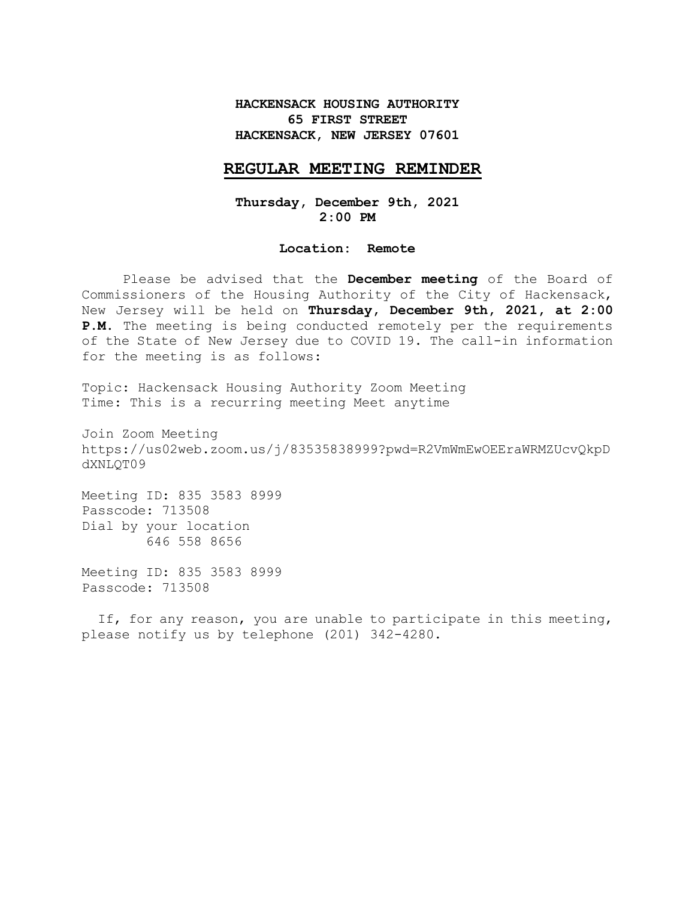# **HACKENSACK HOUSING AUTHORITY 65 FIRST STREET HACKENSACK, NEW JERSEY 07601**

### **REGULAR MEETING REMINDER**

**Thursday, December 9th, 2021 2:00 PM**

#### **Location: Remote**

Please be advised that the **December meeting** of the Board of Commissioners of the Housing Authority of the City of Hackensack, New Jersey will be held on **Thursday, December 9th, 2021, at 2:00 P.M**. The meeting is being conducted remotely per the requirements of the State of New Jersey due to COVID 19. The call-in information for the meeting is as follows:

Topic: Hackensack Housing Authority Zoom Meeting Time: This is a recurring meeting Meet anytime

Join Zoom Meeting https://us02web.zoom.us/j/83535838999?pwd=R2VmWmEwOEEraWRMZUcvQkpD dXNLQT09

Meeting ID: 835 3583 8999 Passcode: 713508 Dial by your location 646 558 8656

Meeting ID: 835 3583 8999 Passcode: 713508

 If, for any reason, you are unable to participate in this meeting, please notify us by telephone (201) 342-4280.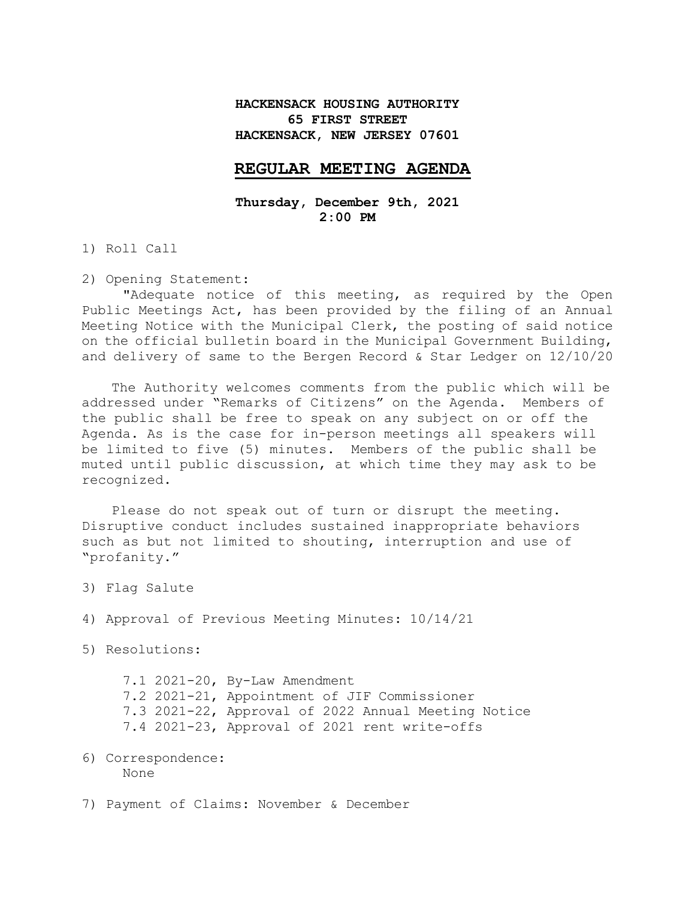# **HACKENSACK HOUSING AUTHORITY 65 FIRST STREET HACKENSACK, NEW JERSEY 07601**

### **REGULAR MEETING AGENDA**

**Thursday, December 9th, 2021 2:00 PM**

1) Roll Call

2) Opening Statement:

"Adequate notice of this meeting, as required by the Open Public Meetings Act, has been provided by the filing of an Annual Meeting Notice with the Municipal Clerk, the posting of said notice on the official bulletin board in the Municipal Government Building, and delivery of same to the Bergen Record & Star Ledger on 12/10/20

The Authority welcomes comments from the public which will be addressed under "Remarks of Citizens" on the Agenda. Members of the public shall be free to speak on any subject on or off the Agenda. As is the case for in-person meetings all speakers will be limited to five (5) minutes. Members of the public shall be muted until public discussion, at which time they may ask to be recognized.

Please do not speak out of turn or disrupt the meeting. Disruptive conduct includes sustained inappropriate behaviors such as but not limited to shouting, interruption and use of "profanity."

- 3) Flag Salute
- 4) Approval of Previous Meeting Minutes: 10/14/21
- 5) Resolutions:

|  | 7.1 2021-20, By-Law Amendment                       |
|--|-----------------------------------------------------|
|  | 7.2 2021-21, Appointment of JIF Commissioner        |
|  | 7.3 2021-22, Approval of 2022 Annual Meeting Notice |
|  | 7.4 2021-23, Approval of 2021 rent write-offs       |

6) Correspondence: None

7) Payment of Claims: November & December